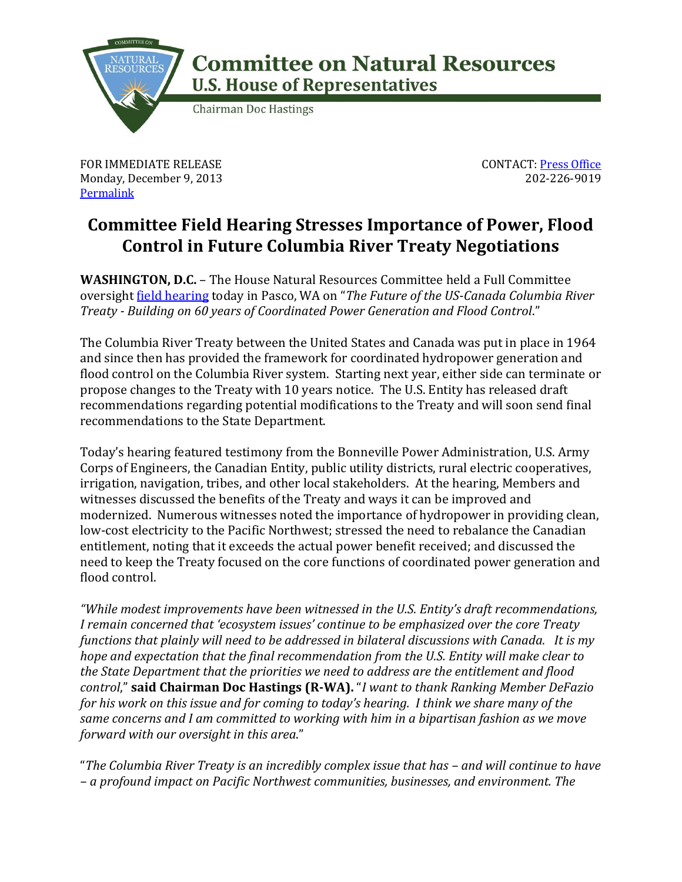

## **Committee on Natural Resources U.S. House of Representatives**

**Chairman Doc Hastings** 

FOR IMMEDIATE RELEASE Monday, December 9, 2013 **[Permalink](http://naturalresources.house.gov/news/documentsingle.aspx?DocumentID=363831)** 

CONTACT: [Press Office](http://naturalresources.house.gov/contact/media.htm) 202-226-9019

## **Committee Field Hearing Stresses Importance of Power, Flood Control in Future Columbia River Treaty Negotiations**

**WASHINGTON, D.C.** – The House Natural Resources Committee held a Full Committee oversight [field hearing](http://naturalresources.house.gov/calendar/eventsingle.aspx?EventID=363025) today in Pasco, WA on "*The Future of the US-Canada Columbia River Treaty - Building on 60 years of Coordinated Power Generation and Flood Control*."

The Columbia River Treaty between the United States and Canada was put in place in 1964 and since then has provided the framework for coordinated hydropower generation and flood control on the Columbia River system. Starting next year, either side can terminate or propose changes to the Treaty with 10 years notice. The U.S. Entity has released draft recommendations regarding potential modifications to the Treaty and will soon send final recommendations to the State Department.

Today's hearing featured testimony from the Bonneville Power Administration, U.S. Army Corps of Engineers, the Canadian Entity, public utility districts, rural electric cooperatives, irrigation, navigation, tribes, and other local stakeholders. At the hearing, Members and witnesses discussed the benefits of the Treaty and ways it can be improved and modernized. Numerous witnesses noted the importance of hydropower in providing clean, low-cost electricity to the Pacific Northwest; stressed the need to rebalance the Canadian entitlement, noting that it exceeds the actual power benefit received; and discussed the need to keep the Treaty focused on the core functions of coordinated power generation and flood control.

*"While modest improvements have been witnessed in the U.S. Entity's draft recommendations, I remain concerned that 'ecosystem issues' continue to be emphasized over the core Treaty functions that plainly will need to be addressed in bilateral discussions with Canada. It is my hope and expectation that the final recommendation from the U.S. Entity will make clear to the State Department that the priorities we need to address are the entitlement and flood control*," **said Chairman Doc Hastings (R-WA).** "*I want to thank Ranking Member DeFazio for his work on this issue and for coming to today's hearing. I think we share many of the same concerns and I am committed to working with him in a bipartisan fashion as we move forward with our oversight in this area*."

"*The Columbia River Treaty is an incredibly complex issue that has – and will continue to have – a profound impact on Pacific Northwest communities, businesses, and environment. The*